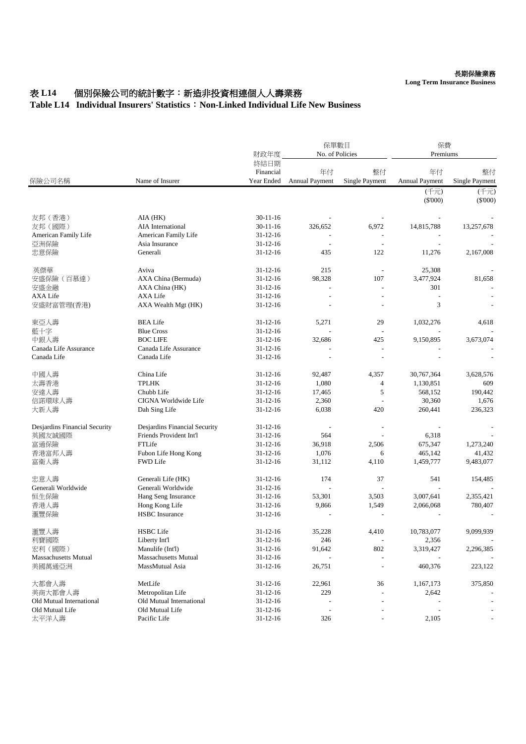## 表 L14 個別保險公司的統計數字: 新造非投資相連個人人壽業務

## **Table L14 Individual Insurers' Statistics**:**Non-Linked Individual Life New Business**

| 保險公司名稱                        | Name of Insurer               | 財政年度                            | 保單數目<br>No. of Policies     |                          | 保費<br>Premiums              |                             |
|-------------------------------|-------------------------------|---------------------------------|-----------------------------|--------------------------|-----------------------------|-----------------------------|
|                               |                               | 終結日期<br>Financial<br>Year Ended | 年付<br><b>Annual Payment</b> | 整付<br>Single Payment     | 年付<br><b>Annual Payment</b> | 整付<br><b>Single Payment</b> |
|                               |                               |                                 |                             |                          | (千元)<br>$(\$'000)$          | (千元)<br>$(\$'000)$          |
| 友邦 (香港)                       | AIA (HK)                      | $30 - 11 - 16$                  |                             |                          |                             |                             |
| 友邦 (國際)                       | AIA International             | $30-11-16$                      | 326,652                     | 6,972                    | 14,815,788                  | 13,257,678                  |
| American Family Life          | American Family Life          | $31 - 12 - 16$                  |                             | $\overline{a}$           |                             |                             |
| 亞洲保險                          | Asia Insurance                | $31 - 12 - 16$                  |                             | $\overline{a}$           |                             |                             |
| 忠意保險                          | Generali                      | $31 - 12 - 16$                  | 435                         | 122                      | 11,276                      | 2,167,008                   |
| 英傑華                           | Aviva                         | $31 - 12 - 16$                  | 215                         | $\overline{a}$           | 25,308                      |                             |
| 安盛保險(百慕達)                     | AXA China (Bermuda)           | $31 - 12 - 16$                  | 98,328                      | 107                      | 3,477,924                   | 81,658                      |
| 安盛金融                          | AXA China (HK)                | $31 - 12 - 16$                  |                             | $\overline{a}$           | 301                         |                             |
| <b>AXA</b> Life               | AXA Life                      | $31 - 12 - 16$                  |                             | $\overline{a}$           |                             |                             |
| 安盛財富管理(香港)                    | AXA Wealth Mgt (HK)           | $31 - 12 - 16$                  |                             |                          | 3                           |                             |
| 東亞人壽                          | <b>BEA Life</b>               | $31 - 12 - 16$                  | 5,271                       | 29                       | 1,032,276                   | 4,618                       |
| 藍十字                           | <b>Blue Cross</b>             | $31 - 12 - 16$                  |                             | $\overline{a}$           |                             |                             |
| 中銀人壽                          | <b>BOC LIFE</b>               | $31 - 12 - 16$                  | 32,686                      | 425                      | 9,150,895                   | 3,673,074                   |
| Canada Life Assurance         | Canada Life Assurance         | $31 - 12 - 16$                  |                             |                          |                             |                             |
| Canada Life                   | Canada Life                   | $31 - 12 - 16$                  | $\overline{a}$              | $\overline{a}$           |                             |                             |
| 中國人壽                          | China Life                    | $31 - 12 - 16$                  | 92,487                      | 4,357                    | 30,767,364                  | 3,628,576                   |
| 太壽香港                          | <b>TPLHK</b>                  | $31 - 12 - 16$                  | 1,080                       | 4                        | 1,130,851                   | 609                         |
| 安達人壽                          | Chubb Life                    | $31 - 12 - 16$                  | 17,465                      | 5                        | 568,152                     | 190,442                     |
| 信諾環球人壽                        | CIGNA Worldwide Life          | $31 - 12 - 16$                  | 2,360                       |                          | 30,360                      | 1,676                       |
| 大新人壽                          | Dah Sing Life                 | $31 - 12 - 16$                  | 6,038                       | 420                      | 260,441                     | 236,323                     |
| Desjardins Financial Security | Desjardins Financial Security | $31 - 12 - 16$                  |                             |                          |                             |                             |
| 英國友誠國際                        | Friends Provident Int'l       | $31 - 12 - 16$                  | 564                         |                          | 6,318                       |                             |
| 富通保險                          | FTLife                        | $31 - 12 - 16$                  | 36,918                      | 2,506                    | 675,347                     | 1,273,240                   |
| 香港富邦人壽                        | Fubon Life Hong Kong          | $31 - 12 - 16$                  | 1,076                       | 6                        | 465,142                     | 41,432                      |
| 富衛人壽                          | <b>FWD Life</b>               | $31 - 12 - 16$                  | 31,112                      | 4,110                    | 1,459,777                   | 9,483,077                   |
| 忠意人壽                          | Generali Life (HK)            | $31 - 12 - 16$                  | 174                         | 37                       | 541                         | 154,485                     |
| Generali Worldwide            | Generali Worldwide            | $31 - 12 - 16$                  |                             | $\overline{a}$           |                             |                             |
| 恒生保險                          | Hang Seng Insurance           | $31 - 12 - 16$                  | 53,301                      | 3,503                    | 3,007,641                   | 2,355,421                   |
| 香港人壽                          | Hong Kong Life                | $31 - 12 - 16$                  | 9,866                       | 1,549                    | 2,066,068                   | 780,407                     |
| 滙豐保險                          | <b>HSBC</b> Insurance         | $31 - 12 - 16$                  |                             |                          |                             |                             |
| 滙豐人壽                          | <b>HSBC</b> Life              | $31 - 12 - 16$                  | 35,228                      | 4,410                    | 10,783,077                  | 9.099.939                   |
| 利寶國際                          | Liberty Int'l                 | $31 - 12 - 16$                  | 246                         | $\overline{\phantom{a}}$ | 2,356                       |                             |
| 宏利 (國際)                       | Manulife (Int'l)              | $31 - 12 - 16$                  | 91,642                      | 802                      | 3,319,427                   | 2,296,385                   |
| <b>Massachusetts Mutual</b>   | <b>Massachusetts Mutual</b>   | $31 - 12 - 16$                  |                             |                          |                             |                             |
| 美國萬通亞洲                        | MassMutual Asia               | $31 - 12 - 16$                  | 26,751                      | $\overline{a}$           | 460,376                     | 223,122                     |
| 大都會人壽                         | MetLife                       | $31 - 12 - 16$                  | 22,961                      | 36                       | 1,167,173                   | 375,850                     |
| 美商大都會人壽                       | Metropolitan Life             | $31 - 12 - 16$                  | 229                         |                          | 2,642                       |                             |
| Old Mutual International      | Old Mutual International      | $31 - 12 - 16$                  |                             |                          |                             |                             |
| Old Mutual Life               | Old Mutual Life               | $31 - 12 - 16$                  |                             |                          |                             |                             |
| 太平洋人壽                         | Pacific Life                  | $31 - 12 - 16$                  | 326                         | $\overline{a}$           | 2,105                       |                             |